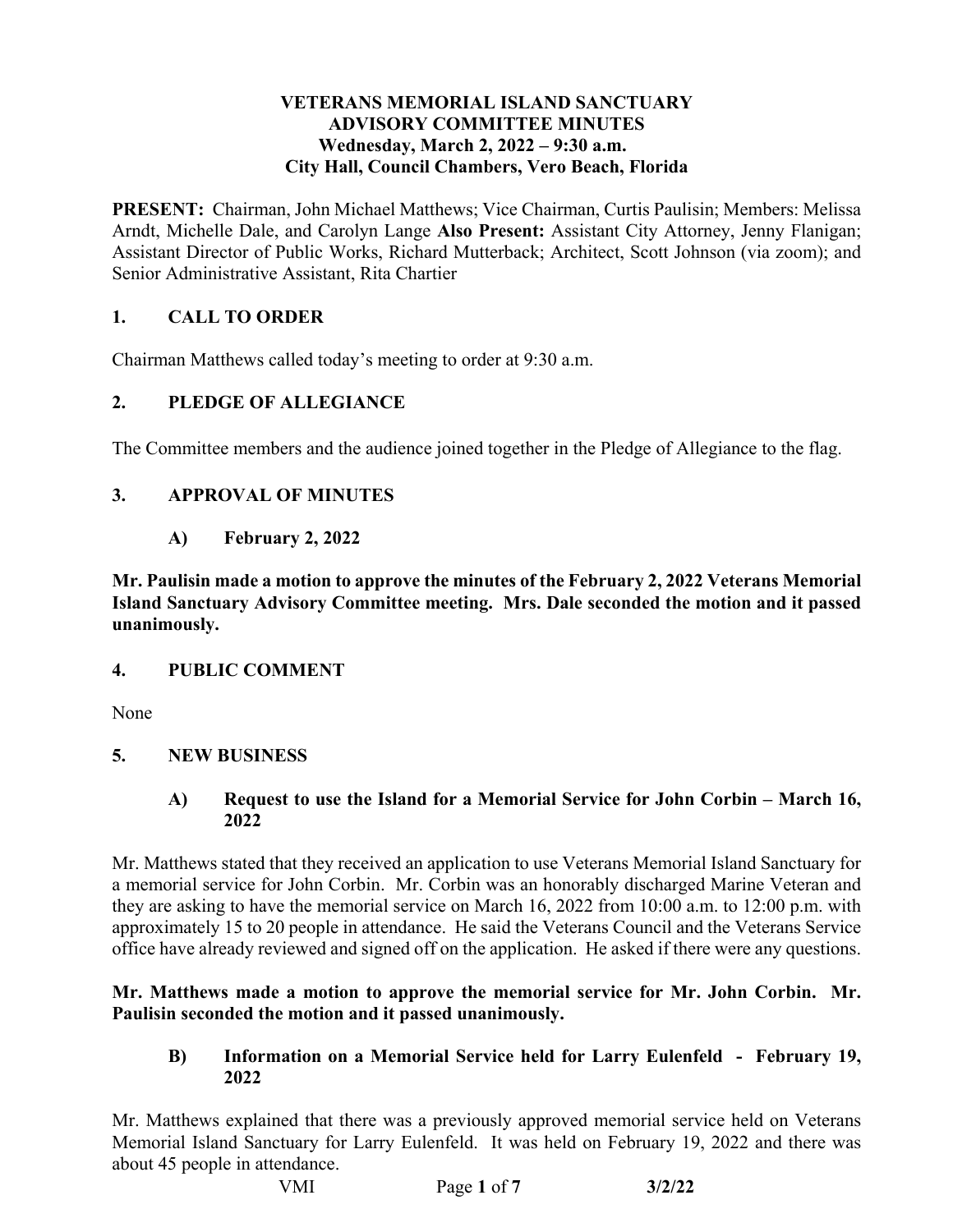#### **VETERANS MEMORIAL ISLAND SANCTUARY ADVISORY COMMITTEE MINUTES**  Wednesday, March 2, 2022 – 9:30 a.m. **City Hall, Council Chambers, Vero Beach, Florida**

 **PRESENT:** Chairman, John Michael Matthews; Vice Chairman, Curtis Paulisin; Members: Melissa Arndt, Michelle Dale, and Carolyn Lange **Also Present:** Assistant City Attorney, Jenny Flanigan; Assistant Director of Public Works, Richard Mutterback; Architect, Scott Johnson (via zoom); and Senior Administrative Assistant, Rita Chartier

## **1. CALL TO ORDER**

Chairman Matthews called today's meeting to order at 9:30 a.m.

## **2. PLEDGE OF ALLEGIANCE**

The Committee members and the audience joined together in the Pledge of Allegiance to the flag.

## **3. APPROVAL OF MINUTES**

 **A) February 2, 2022** 

 **Island Sanctuary Advisory Committee meeting. Mrs. Dale seconded the motion and it passed Mr. Paulisin made a motion to approve the minutes of the February 2, 2022 Veterans Memorial unanimously.** 

## **4. PUBLIC COMMENT**

None

## **5. NEW BUSINESS**

 **A) Request to use the Island for a Memorial Service for John Corbin – March 16, 2022** 

 approximately 15 to 20 people in attendance. He said the Veterans Council and the Veterans Service office have already reviewed and signed off on the application. He asked if there were any questions. Mr. Matthews stated that they received an application to use Veterans Memorial Island Sanctuary for a memorial service for John Corbin. Mr. Corbin was an honorably discharged Marine Veteran and they are asking to have the memorial service on March 16, 2022 from 10:00 a.m. to 12:00 p.m. with

## **Mr. Matthews made a motion to approve the memorial service for Mr. John Corbin. Mr. Paulisin seconded the motion and it passed unanimously.**

## **B) Information on a Memorial Service held for Larry Eulenfeld - February 19, 2022**

Mr. Matthews explained that there was a previously approved memorial service held on Veterans Memorial Island Sanctuary for Larry Eulenfeld. It was held on February 19, 2022 and there was about 45 people in attendance.

 VMI Page **1** of **7 3/2/22**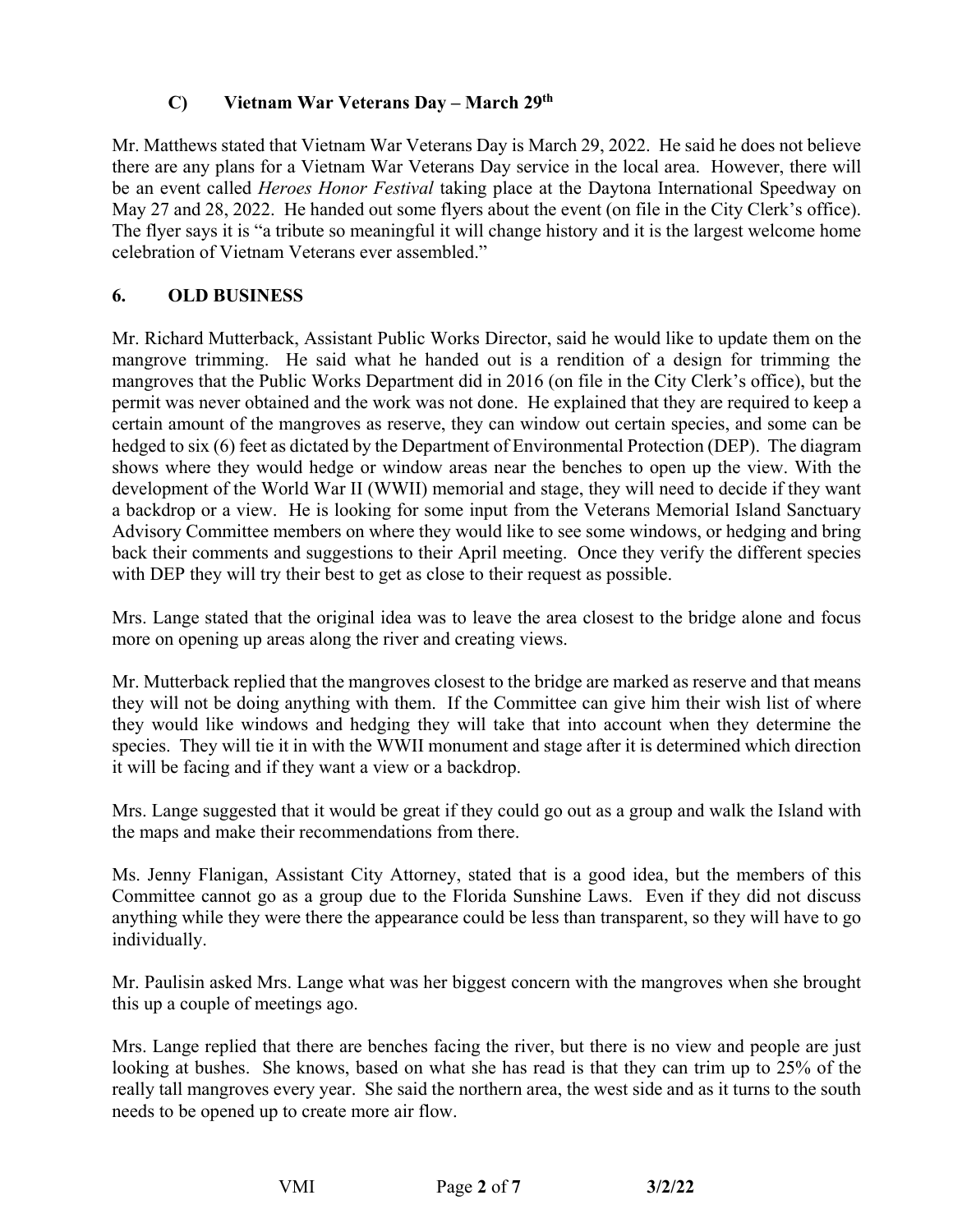## **C) Vietnam War Veterans Day – March 29th**

 there are any plans for a Vietnam War Veterans Day service in the local area. However, there will be an event called *Heroes Honor Festival* taking place at the Daytona International Speedway on May 27 and 28, 2022. He handed out some flyers about the event (on file in the City Clerk's office). celebration of Vietnam Veterans ever assembled." Mr. Matthews stated that Vietnam War Veterans Day is March 29, 2022. He said he does not believe The flyer says it is "a tribute so meaningful it will change history and it is the largest welcome home

## **6. OLD BUSINESS**

 mangrove trimming. He said what he handed out is a rendition of a design for trimming the shows where they would hedge or window areas near the benches to open up the view. With the a backdrop or a view. He is looking for some input from the Veterans Memorial Island Sanctuary with DEP they will try their best to get as close to their request as possible. Mr. Richard Mutterback, Assistant Public Works Director, said he would like to update them on the mangroves that the Public Works Department did in 2016 (on file in the City Clerk's office), but the permit was never obtained and the work was not done. He explained that they are required to keep a certain amount of the mangroves as reserve, they can window out certain species, and some can be hedged to six (6) feet as dictated by the Department of Environmental Protection (DEP). The diagram development of the World War II (WWII) memorial and stage, they will need to decide if they want Advisory Committee members on where they would like to see some windows, or hedging and bring back their comments and suggestions to their April meeting. Once they verify the different species

Mrs. Lange stated that the original idea was to leave the area closest to the bridge alone and focus more on opening up areas along the river and creating views.

 species. They will tie it in with the WWII monument and stage after it is determined which direction it will be facing and if they want a view or a backdrop. Mr. Mutterback replied that the mangroves closest to the bridge are marked as reserve and that means they will not be doing anything with them. If the Committee can give him their wish list of where they would like windows and hedging they will take that into account when they determine the

 the maps and make their recommendations from there. Mrs. Lange suggested that it would be great if they could go out as a group and walk the Island with

individually. Ms. Jenny Flanigan, Assistant City Attorney, stated that is a good idea, but the members of this Committee cannot go as a group due to the Florida Sunshine Laws. Even if they did not discuss anything while they were there the appearance could be less than transparent, so they will have to go

Mr. Paulisin asked Mrs. Lange what was her biggest concern with the mangroves when she brought this up a couple of meetings ago.

 looking at bushes. She knows, based on what she has read is that they can trim up to 25% of the Mrs. Lange replied that there are benches facing the river, but there is no view and people are just really tall mangroves every year. She said the northern area, the west side and as it turns to the south needs to be opened up to create more air flow.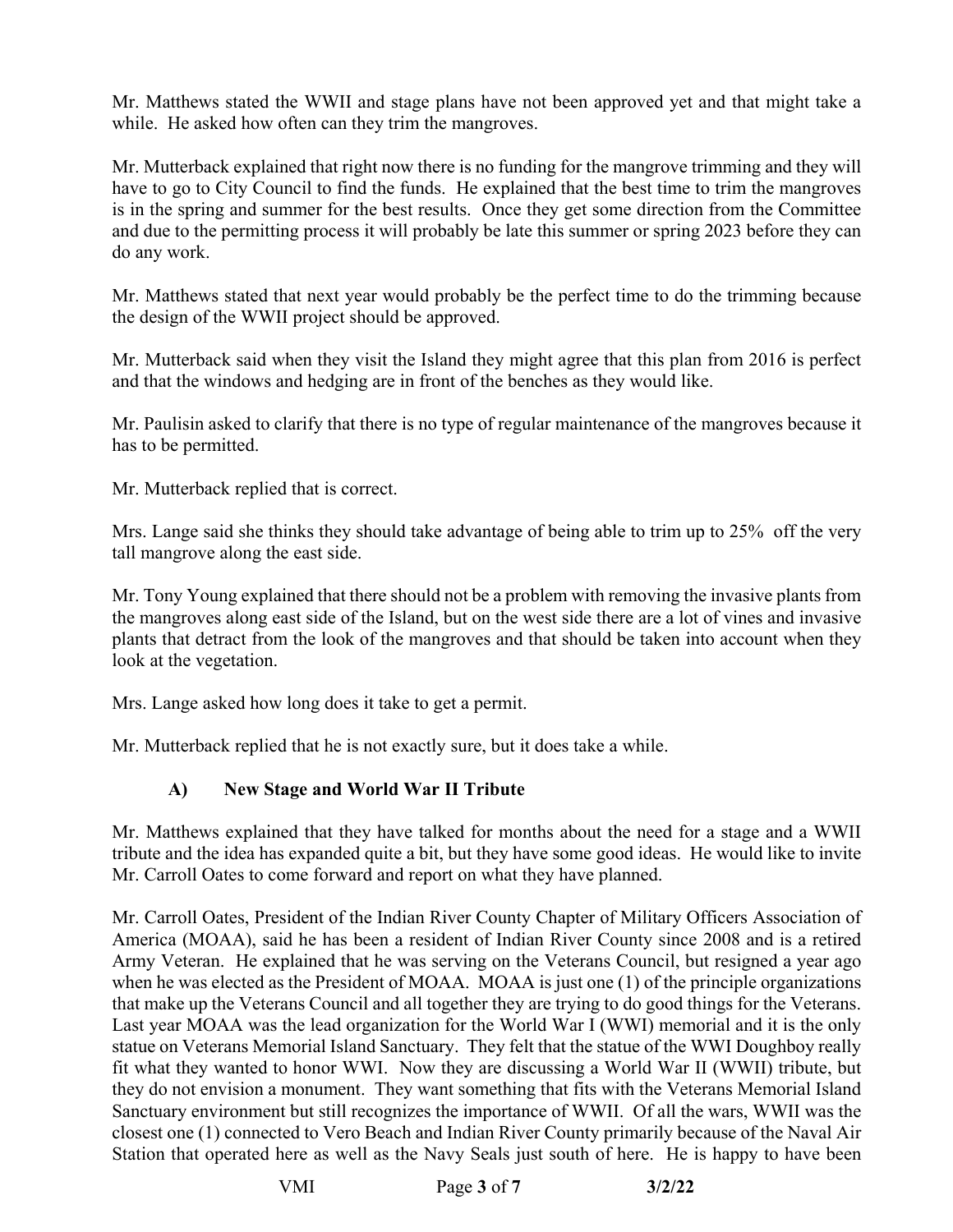Mr. Matthews stated the WWII and stage plans have not been approved yet and that might take a while. He asked how often can they trim the mangroves.

 Mr. Mutterback explained that right now there is no funding for the mangrove trimming and they will have to go to City Council to find the funds. He explained that the best time to trim the mangroves is in the spring and summer for the best results. Once they get some direction from the Committee and due to the permitting process it will probably be late this summer or spring 2023 before they can do any work.

the design of the WWII project should be approved. Mr. Matthews stated that next year would probably be the perfect time to do the trimming because

 and that the windows and hedging are in front of the benches as they would like. Mr. Mutterback said when they visit the Island they might agree that this plan from 2016 is perfect

Mr. Paulisin asked to clarify that there is no type of regular maintenance of the mangroves because it has to be permitted.

Mr. Mutterback replied that is correct.

tall mangrove along the east side. Mrs. Lange said she thinks they should take advantage of being able to trim up to 25% off the very

tall mangrove along the east side.<br>Mr. Tony Young explained that there should not be a problem with removing the invasive plants from the mangroves along east side of the Island, but on the west side there are a lot of vines and invasive plants that detract from the look of the mangroves and that should be taken into account when they look at the vegetation.

Mrs. Lange asked how long does it take to get a permit.

Mr. Mutterback replied that he is not exactly sure, but it does take a while.

## **A) New Stage and World War II Tribute**

 Mr. Matthews explained that they have talked for months about the need for a stage and a WWII tribute and the idea has expanded quite a bit, but they have some good ideas. He would like to invite Mr. Carroll Oates to come forward and report on what they have planned.

 Army Veteran. He explained that he was serving on the Veterans Council, but resigned a year ago when he was elected as the President of MOAA. MOAA is just one (1) of the principle organizations that make up the Veterans Council and all together they are trying to do good things for the Veterans. Last year MOAA was the lead organization for the World War I (WWI) memorial and it is the only statue on Veterans Memorial Island Sanctuary. They felt that the statue of the WWI Doughboy really fit what they wanted to honor WWI. Now they are discussing a World War II (WWII) tribute, but Sanctuary environment but still recognizes the importance of WWII. Of all the wars, WWII was the Station that operated here as well as the Navy Seals just south of here. He is happy to have been Mr. Carroll Oates, President of the Indian River County Chapter of Military Officers Association of America (MOAA), said he has been a resident of Indian River County since 2008 and is a retired they do not envision a monument. They want something that fits with the Veterans Memorial Island closest one (1) connected to Vero Beach and Indian River County primarily because of the Naval Air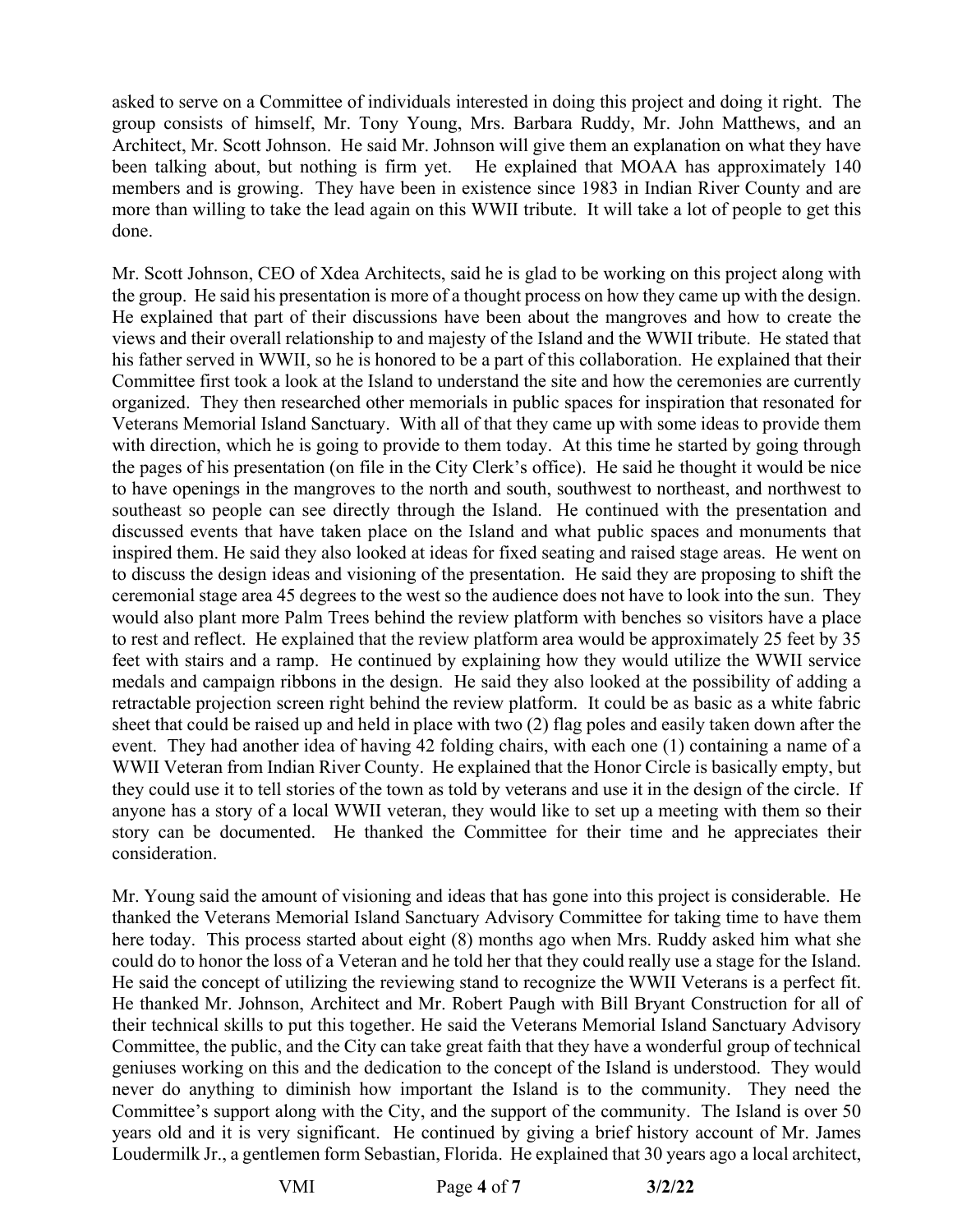asked to serve on a Committee of individuals interested in doing this project and doing it right. The group consists of himself, Mr. Tony Young, Mrs. Barbara Ruddy, Mr. John Matthews, and an Architect, Mr. Scott Johnson. He said Mr. Johnson will give them an explanation on what they have more than willing to take the lead again on this WWII tribute. It will take a lot of people to get this done. been talking about, but nothing is firm yet. He explained that MOAA has approximately 140 members and is growing. They have been in existence since 1983 in Indian River County and are

 views and their overall relationship to and majesty of the Island and the WWII tribute. He stated that his father served in WWII, so he is honored to be a part of this collaboration. He explained that their Committee first took a look at the Island to understand the site and how the ceremonies are currently Veterans Memorial Island Sanctuary. With all of that they came up with some ideas to provide them the pages of his presentation (on file in the City Clerk's office). He said he thought it would be nice inspired them. He said they also looked at ideas for fixed seating and raised stage areas. He went on to rest and reflect. He explained that the review platform area would be approximately 25 feet by 35 feet with stairs and a ramp. He continued by explaining how they would utilize the WWII service sheet that could be raised up and held in place with two (2) flag poles and easily taken down after the they could use it to tell stories of the town as told by veterans and use it in the design of the circle. If Mr. Scott Johnson, CEO of Xdea Architects, said he is glad to be working on this project along with the group. He said his presentation is more of a thought process on how they came up with the design. He explained that part of their discussions have been about the mangroves and how to create the organized. They then researched other memorials in public spaces for inspiration that resonated for with direction, which he is going to provide to them today. At this time he started by going through to have openings in the mangroves to the north and south, southwest to northeast, and northwest to southeast so people can see directly through the Island. He continued with the presentation and discussed events that have taken place on the Island and what public spaces and monuments that to discuss the design ideas and visioning of the presentation. He said they are proposing to shift the ceremonial stage area 45 degrees to the west so the audience does not have to look into the sun. They would also plant more Palm Trees behind the review platform with benches so visitors have a place medals and campaign ribbons in the design. He said they also looked at the possibility of adding a retractable projection screen right behind the review platform. It could be as basic as a white fabric event. They had another idea of having 42 folding chairs, with each one (1) containing a name of a WWII Veteran from Indian River County. He explained that the Honor Circle is basically empty, but anyone has a story of a local WWII veteran, they would like to set up a meeting with them so their story can be documented. He thanked the Committee for their time and he appreciates their consideration.

 could do to honor the loss of a Veteran and he told her that they could really use a stage for the Island. He thanked Mr. Johnson, Architect and Mr. Robert Paugh with Bill Bryant Construction for all of Committee, the public, and the City can take great faith that they have a wonderful group of technical Committee's support along with the City, and the support of the community. The Island is over 50 years old and it is very significant. He continued by giving a brief history account of Mr. James Loudermilk Jr., a gentlemen form Sebastian, Florida. He explained that 30 years ago a local architect, Mr. Young said the amount of visioning and ideas that has gone into this project is considerable. He thanked the Veterans Memorial Island Sanctuary Advisory Committee for taking time to have them here today. This process started about eight (8) months ago when Mrs. Ruddy asked him what she He said the concept of utilizing the reviewing stand to recognize the WWII Veterans is a perfect fit. their technical skills to put this together. He said the Veterans Memorial Island Sanctuary Advisory geniuses working on this and the dedication to the concept of the Island is understood. They would never do anything to diminish how important the Island is to the community. They need the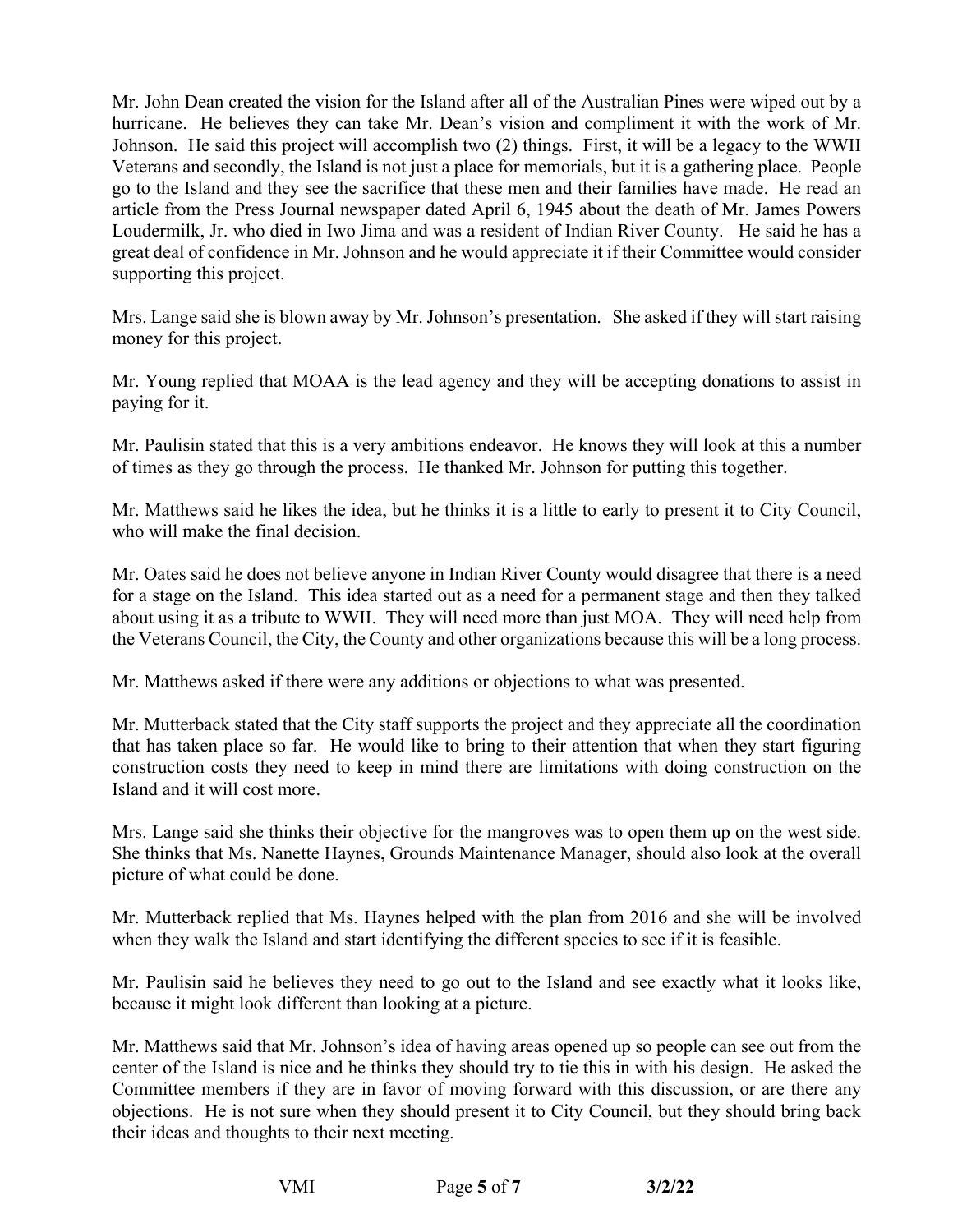Loudermilk, Jr. who died in Iwo Jima and was a resident of Indian River County. He said he has a Mr. John Dean created the vision for the Island after all of the Australian Pines were wiped out by a hurricane. He believes they can take Mr. Dean's vision and compliment it with the work of Mr. Johnson. He said this project will accomplish two (2) things. First, it will be a legacy to the WWII Veterans and secondly, the Island is not just a place for memorials, but it is a gathering place. People go to the Island and they see the sacrifice that these men and their families have made. He read an article from the Press Journal newspaper dated April 6, 1945 about the death of Mr. James Powers great deal of confidence in Mr. Johnson and he would appreciate it if their Committee would consider supporting this project.

 Mrs. Lange said she is blown away by Mr. Johnson's presentation. She asked if they will start raising money for this project.

Mr. Young replied that MOAA is the lead agency and they will be accepting donations to assist in paying for it.

 Mr. Paulisin stated that this is a very ambitions endeavor. He knows they will look at this a number of times as they go through the process. He thanked Mr. Johnson for putting this together.

 Mr. Matthews said he likes the idea, but he thinks it is a little to early to present it to City Council, who will make the final decision.

 for a stage on the Island. This idea started out as a need for a permanent stage and then they talked about using it as a tribute to WWII. They will need more than just MOA. They will need help from Mr. Oates said he does not believe anyone in Indian River County would disagree that there is a need the Veterans Council, the City, the County and other organizations because this will be a long process.

Mr. Matthews asked if there were any additions or objections to what was presented.

Island and it will cost more. Mr. Mutterback stated that the City staff supports the project and they appreciate all the coordination that has taken place so far. He would like to bring to their attention that when they start figuring construction costs they need to keep in mind there are limitations with doing construction on the

Island and it will cost more.<br>Mrs. Lange said she thinks their objective for the mangroves was to open them up on the west side. She thinks that Ms. Nanette Haynes, Grounds Maintenance Manager, should also look at the overall picture of what could be done.

Mr. Mutterback replied that Ms. Haynes helped with the plan from 2016 and she will be involved when they walk the Island and start identifying the different species to see if it is feasible.

 because it might look different than looking at a picture. Mr. Paulisin said he believes they need to go out to the Island and see exactly what it looks like,

 their ideas and thoughts to their next meeting. Mr. Matthews said that Mr. Johnson's idea of having areas opened up so people can see out from the center of the Island is nice and he thinks they should try to tie this in with his design. He asked the Committee members if they are in favor of moving forward with this discussion, or are there any objections. He is not sure when they should present it to City Council, but they should bring back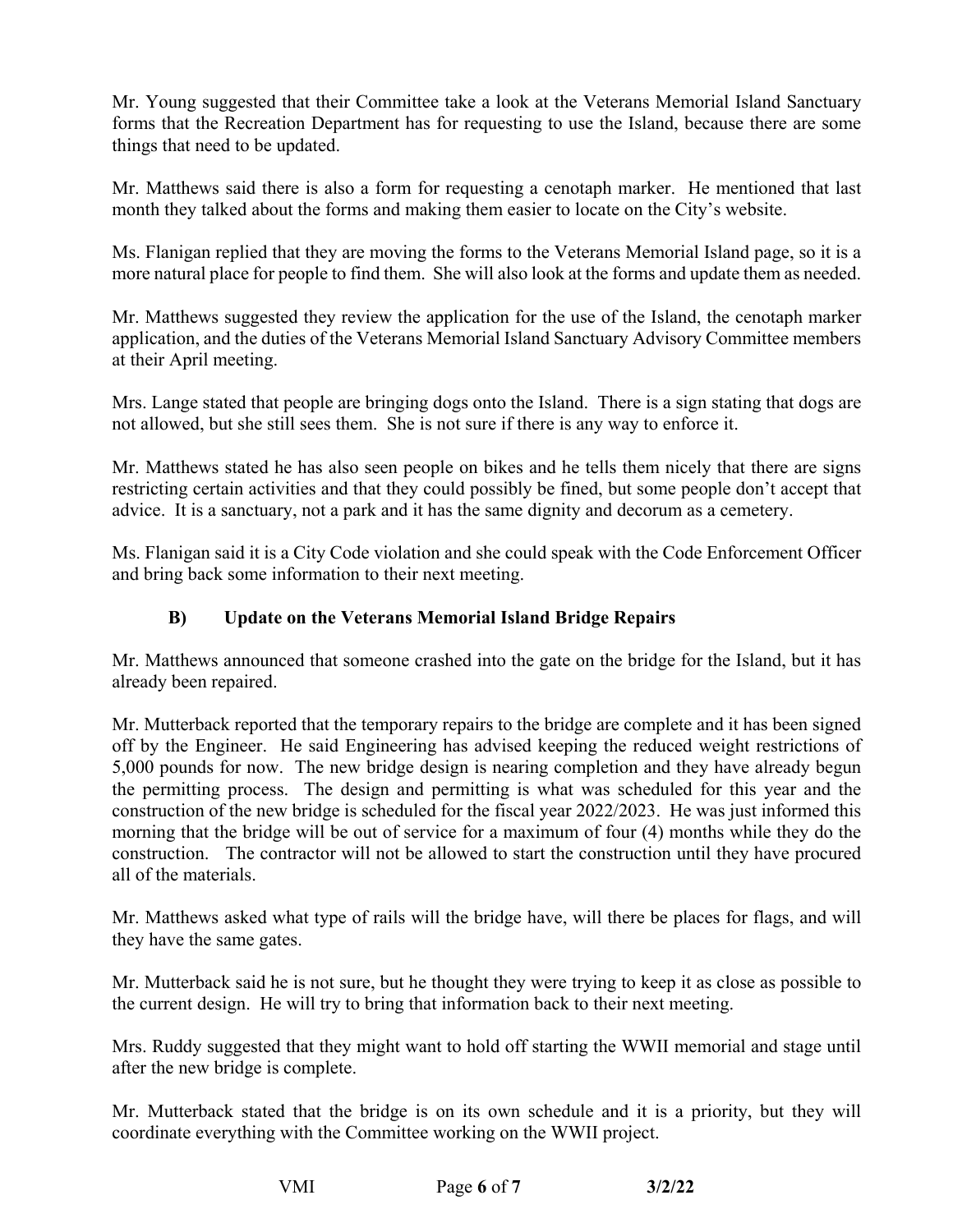Mr. Young suggested that their Committee take a look at the Veterans Memorial Island Sanctuary forms that the Recreation Department has for requesting to use the Island, because there are some things that need to be updated.

Mr. Matthews said there is also a form for requesting a cenotaph marker. He mentioned that last month they talked about the forms and making them easier to locate on the City's website.

 Ms. Flanigan replied that they are moving the forms to the Veterans Memorial Island page, so it is a more natural place for people to find them. She will also look at the forms and update them as needed.

Mr. Matthews suggested they review the application for the use of the Island, the cenotaph marker application, and the duties of the Veterans Memorial Island Sanctuary Advisory Committee members at their April meeting.

Mrs. Lange stated that people are bringing dogs onto the Island. There is a sign stating that dogs are not allowed, but she still sees them. She is not sure if there is any way to enforce it.

 restricting certain activities and that they could possibly be fined, but some people don't accept that advice. It is a sanctuary, not a park and it has the same dignity and decorum as a cemetery. Mr. Matthews stated he has also seen people on bikes and he tells them nicely that there are signs

 Ms. Flanigan said it is a City Code violation and she could speak with the Code Enforcement Officer and bring back some information to their next meeting.

# **B) Update on the Veterans Memorial Island Bridge Repairs**

 Mr. Matthews announced that someone crashed into the gate on the bridge for the Island, but it has already been repaired.

 Mr. Mutterback reported that the temporary repairs to the bridge are complete and it has been signed off by the Engineer. He said Engineering has advised keeping the reduced weight restrictions of construction of the new bridge is scheduled for the fiscal year 2022/2023. He was just informed this morning that the bridge will be out of service for a maximum of four (4) months while they do the construction. The contractor will not be allowed to start the construction until they have procured all of the materials. 5,000 pounds for now. The new bridge design is nearing completion and they have already begun the permitting process. The design and permitting is what was scheduled for this year and the

they have the same gates. Mr. Matthews asked what type of rails will the bridge have, will there be places for flags, and will

Mr. Mutterback said he is not sure, but he thought they were trying to keep it as close as possible to the current design. He will try to bring that information back to their next meeting.

 Mrs. Ruddy suggested that they might want to hold off starting the WWII memorial and stage until after the new bridge is complete.

 Mr. Mutterback stated that the bridge is on its own schedule and it is a priority, but they will coordinate everything with the Committee working on the WWII project.